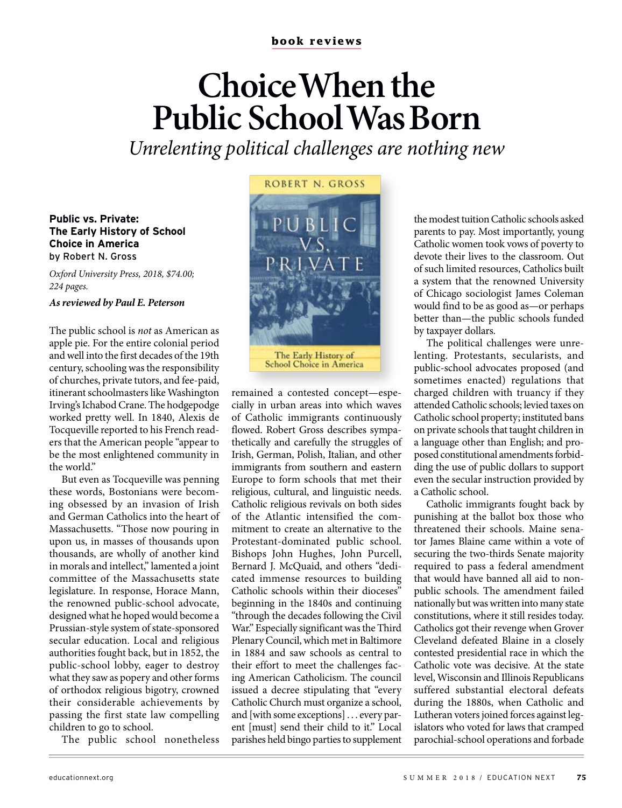### **book reviews**

# **Choice When the Public School Was Born**

Unrelenting political challenges are nothing new

#### **Public vs. Private: The Early History of School Choice in America**  by Robert N. Gross

Oxford University Press, 2018, \$74.00; 224 pages.

#### **As reviewed by Paul E. Peterson**

The public school is not as American as apple pie. For the entire colonial period and well into the first decades of the 19th century, schooling was the responsibility of churches, private tutors, and fee-paid, itinerant schoolmasters like Washington Irving's Ichabod Crane. The hodgepodge worked pretty well. In 1840, Alexis de Tocqueville reported to his French readers that the American people "appear to be the most enlightened community in the world."

But even as Tocqueville was penning these words, Bostonians were becoming obsessed by an invasion of Irish and German Catholics into the heart of Massachusetts. "Those now pouring in upon us, in masses of thousands upon thousands, are wholly of another kind in morals and intellect," lamented a joint committee of the Massachusetts state legislature. In response, Horace Mann, the renowned public-school advocate, designed what he hoped would become a Prussian-style system of state-sponsored secular education. Local and religious authorities fought back, but in 1852, the public-school lobby, eager to destroy what they saw as popery and other forms of orthodox religious bigotry, crowned their considerable achievements by passing the first state law compelling children to go to school.

The public school nonetheless



**School Choice in America** 

remained a contested concept—especially in urban areas into which waves of Catholic immigrants continuously flowed. Robert Gross describes sympathetically and carefully the struggles of Irish, German, Polish, Italian, and other immigrants from southern and eastern Europe to form schools that met their religious, cultural, and linguistic needs. Catholic religious revivals on both sides of the Atlantic intensified the commitment to create an alternative to the Protestant-dominated public school. Bishops John Hughes, John Purcell, Bernard J. McQuaid, and others "dedicated immense resources to building Catholic schools within their dioceses" beginning in the 1840s and continuing "through the decades following the Civil War." Especially significant was the Third Plenary Council, which met in Baltimore in 1884 and saw schools as central to their effort to meet the challenges facing American Catholicism. The council issued a decree stipulating that "every Catholic Church must organize a school, and [with some exceptions] . . . every parent [must] send their child to it." Local parishes held bingo parties to supplement

the modest tuition Catholic schools asked parents to pay. Most importantly, young Catholic women took vows of poverty to devote their lives to the classroom. Out of such limited resources, Catholics built a system that the renowned University of Chicago sociologist James Coleman would find to be as good as—or perhaps better than—the public schools funded by taxpayer dollars.

The political challenges were unrelenting. Protestants, secularists, and public-school advocates proposed (and sometimes enacted) regulations that charged children with truancy if they attended Catholic schools; levied taxes on Catholic school property; instituted bans on private schools that taught children in a language other than English; and proposed constitutional amendments forbidding the use of public dollars to support even the secular instruction provided by a Catholic school.

Catholic immigrants fought back by punishing at the ballot box those who threatened their schools. Maine senator James Blaine came within a vote of securing the two-thirds Senate majority required to pass a federal amendment that would have banned all aid to nonpublic schools. The amendment failed nationally but was written into many state constitutions, where it still resides today. Catholics got their revenge when Grover Cleveland defeated Blaine in a closely contested presidential race in which the Catholic vote was decisive. At the state level, Wisconsin and Illinois Republicans suffered substantial electoral defeats during the 1880s, when Catholic and Lutheran voters joined forces against legislators who voted for laws that cramped parochial-school operations and forbade